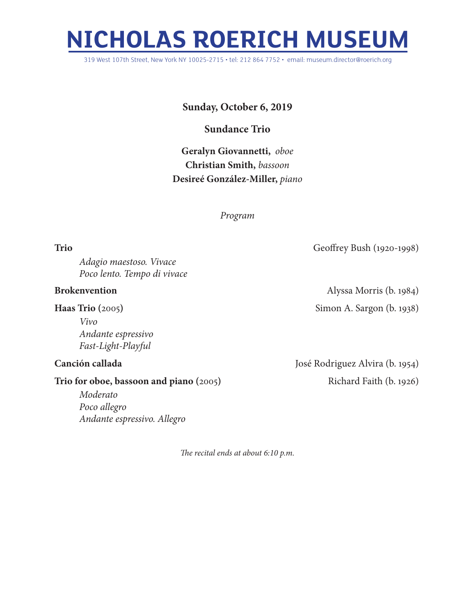## **NICHOLAS ROERICH MUSEUM**

319 West 107th Street, New York NY 10025-2715 • tel: 212 864 7752 • email: museum.director@roerich.org

**Sunday, October 6, 2019**

**Sundance Trio**

**Geralyn Giovannetti,** *oboe* **Christian Smith,** *bassoon* **Desireé González-Miller,** *piano*

*Program*

**Trio** Geoffrey Bush (1920-1998)

*Adagio maestoso. Vivace Poco lento. Tempo di vivace*

## **Brokenvention** Alyssa Morris (b. 1984)

**Haas Trio** (2005) Simon A. Sargon (b. 1938) *Vivo Andante espressivo*

## **Trio for oboe, bassoon and piano** (2005) Richard Faith (b. 1926)

*Moderato Poco allegro Andante espressivo. Allegro*

**Canción callada** José Rodriguez Alvira (b. 1954)

*The recital ends at about 6:10 p.m.*

*Fast-Light-Playful*